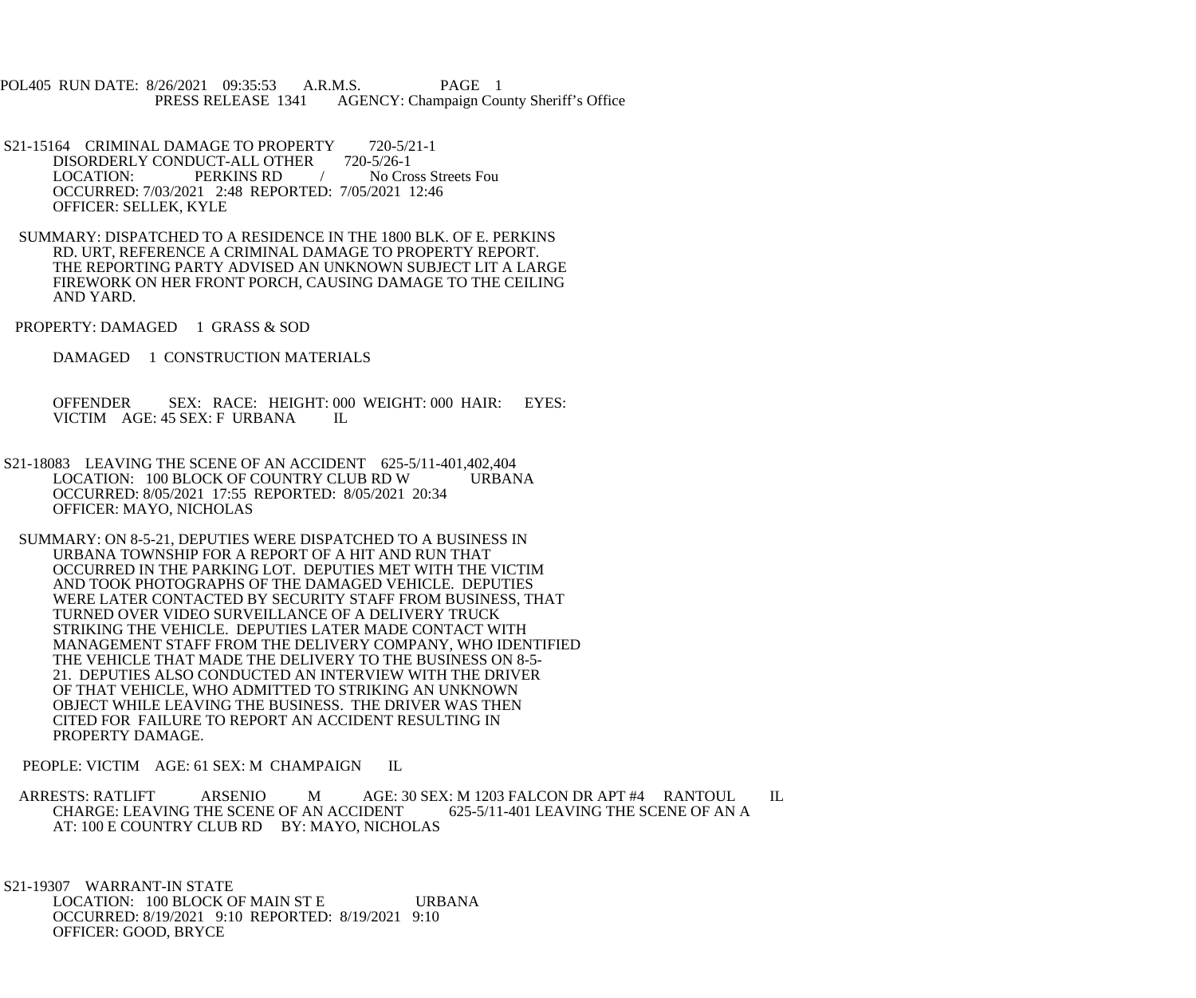POL405 RUN DATE: 8/26/2021 09:35:53 A.R.M.S. PAGE 1<br>PRESS RELEASE 1341 AGENCY: Champaign Cou AGENCY: Champaign County Sheriff's Office

- S21-15164 CRIMINAL DAMAGE TO PROPERTY 720-5/21-1<br>DISORDERLY CONDUCT-ALL OTHER 720-5/26-1 DISORDERLY CONDUCT-ALL OTHER LOCATION: PERKINS RD / No Cross Streets Fou OCCURRED: 7/03/2021 2:48 REPORTED: 7/05/2021 12:46 OFFICER: SELLEK, KYLE
- SUMMARY: DISPATCHED TO A RESIDENCE IN THE 1800 BLK. OF E. PERKINS RD. URT, REFERENCE A CRIMINAL DAMAGE TO PROPERTY REPORT. THE REPORTING PARTY ADVISED AN UNKNOWN SUBJECT LIT A LARGE FIREWORK ON HER FRONT PORCH, CAUSING DAMAGE TO THE CEILING AND YARD.
- PROPERTY: DAMAGED 1 GRASS & SOD
	- DAMAGED 1 CONSTRUCTION MATERIALS

 OFFENDER SEX: RACE: HEIGHT: 000 WEIGHT: 000 HAIR: EYES: VICTIM AGE: 45 SEX: F URBANA IL

- S21-18083 LEAVING THE SCENE OF AN ACCIDENT 625-5/11-401,402,404<br>LOCATION: 100 BLOCK OF COUNTRY CLUB RD W URBANA LOCATION: 100 BLOCK OF COUNTRY CLUB RD W OCCURRED: 8/05/2021 17:55 REPORTED: 8/05/2021 20:34 OFFICER: MAYO, NICHOLAS
	- SUMMARY: ON 8-5-21, DEPUTIES WERE DISPATCHED TO A BUSINESS IN URBANA TOWNSHIP FOR A REPORT OF A HIT AND RUN THAT OCCURRED IN THE PARKING LOT. DEPUTIES MET WITH THE VICTIM AND TOOK PHOTOGRAPHS OF THE DAMAGED VEHICLE. DEPUTIES WERE LATER CONTACTED BY SECURITY STAFF FROM BUSINESS, THAT TURNED OVER VIDEO SURVEILLANCE OF A DELIVERY TRUCK STRIKING THE VEHICLE. DEPUTIES LATER MADE CONTACT WITH MANAGEMENT STAFF FROM THE DELIVERY COMPANY, WHO IDENTIFIED THE VEHICLE THAT MADE THE DELIVERY TO THE BUSINESS ON 8-5- 21. DEPUTIES ALSO CONDUCTED AN INTERVIEW WITH THE DRIVER OF THAT VEHICLE, WHO ADMITTED TO STRIKING AN UNKNOWN OBJECT WHILE LEAVING THE BUSINESS. THE DRIVER WAS THEN CITED FOR FAILURE TO REPORT AN ACCIDENT RESULTING IN PROPERTY DAMAGE.

PEOPLE: VICTIM AGE: 61 SEX: M CHAMPAIGN IL

ARRESTS: RATLIFT ARSENIO M AGE: 30 SEX: M 1203 FALCON DR APT #4 RANTOUL IL CHARGE: LEAVING THE SCENE OF AN ACCIDENT 625-5/11-401 LEAVING THE SCENE OF AN A CHARGE: LEAVING THE SCENE OF AN ACCIDENT AT: 100 E COUNTRY CLUB RD BY: MAYO, NICHOLAS

 S21-19307 WARRANT-IN STATE LOCATION: 100 BLOCK OF MAIN ST E URBANA OCCURRED: 8/19/2021 9:10 REPORTED: 8/19/2021 9:10 OFFICER: GOOD, BRYCE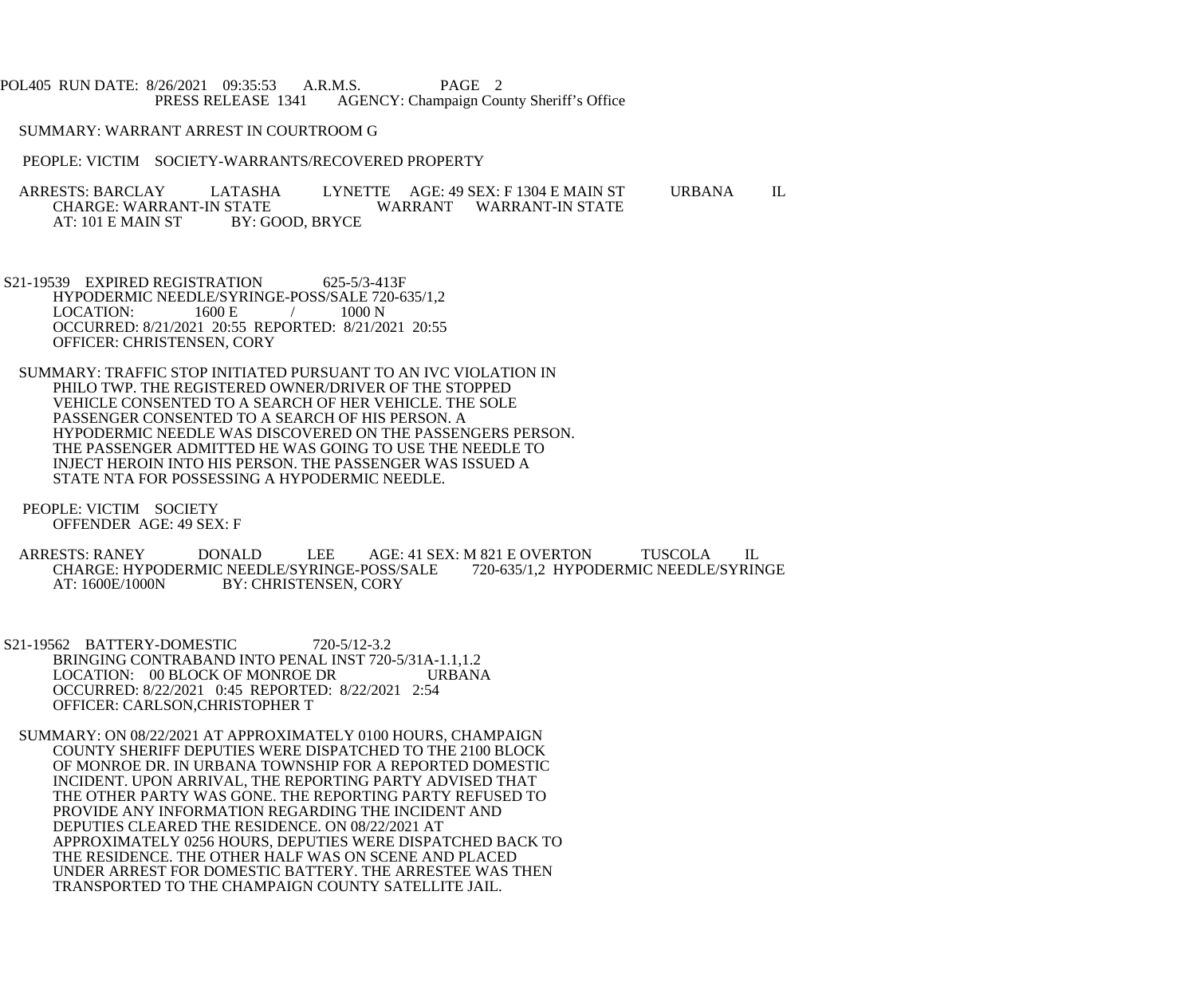POL405 RUN DATE: 8/26/2021 09:35:53 A.R.M.S. PAGE 2<br>PRESS RELEASE 1341 AGENCY: Champaign Cou AGENCY: Champaign County Sheriff's Office

SUMMARY: WARRANT ARREST IN COURTROOM G

PEOPLE: VICTIM SOCIETY-WARRANTS/RECOVERED PROPERTY

ARRESTS: BARCLAY LATASHA LYNETTE AGE: 49 SEX: F 1304 E MAIN ST URBANA IL CHARGE: WARRANT-IN STATE STATE WARRANT WARRANT-IN STATE BY: GOOD, BRYCE AT: 101 E MAIN ST

S21-19539 EXPIRED REGISTRATION 625-5/3-413F HYPODERMIC NEEDLE/SYRINGE-POSS/SALE 720-635/1,2<br>LOCATION: 1600 E / 1000 N  $\text{LOCATION:}$  1600 E / 1000 N OCCURRED: 8/21/2021 20:55 REPORTED: 8/21/2021 20:55 OFFICER: CHRISTENSEN, CORY

 SUMMARY: TRAFFIC STOP INITIATED PURSUANT TO AN IVC VIOLATION IN PHILO TWP. THE REGISTERED OWNER/DRIVER OF THE STOPPED VEHICLE CONSENTED TO A SEARCH OF HER VEHICLE. THE SOLE PASSENGER CONSENTED TO A SEARCH OF HIS PERSON. A HYPODERMIC NEEDLE WAS DISCOVERED ON THE PASSENGERS PERSON. THE PASSENGER ADMITTED HE WAS GOING TO USE THE NEEDLE TO INJECT HEROIN INTO HIS PERSON. THE PASSENGER WAS ISSUED A STATE NTA FOR POSSESSING A HYPODERMIC NEEDLE.

 PEOPLE: VICTIM SOCIETY OFFENDER AGE: 49 SEX: F

 ARRESTS: RANEY DONALD LEE AGE: 41 SEX: M 821 E OVERTON TUSCOLA IL CHARGE: HYPODERMIC NEEDLE/SYRINGE-POSS/SALE<br>AT: 1600E/1000N BY: CHRISTENSEN. CORY BY: CHRISTENSEN, CORY

S21-19562 BATTERY-DOMESTIC 720-5/12-3.2 BRINGING CONTRABAND INTO PENAL INST 720-5/31A-1.1,1.2 LOCATION: 00 BLOCK OF MONROE DR URBANA OCCURRED: 8/22/2021 0:45 REPORTED: 8/22/2021 2:54 OFFICER: CARLSON,CHRISTOPHER T

 SUMMARY: ON 08/22/2021 AT APPROXIMATELY 0100 HOURS, CHAMPAIGN COUNTY SHERIFF DEPUTIES WERE DISPATCHED TO THE 2100 BLOCK OF MONROE DR. IN URBANA TOWNSHIP FOR A REPORTED DOMESTIC INCIDENT. UPON ARRIVAL, THE REPORTING PARTY ADVISED THAT THE OTHER PARTY WAS GONE. THE REPORTING PARTY REFUSED TO PROVIDE ANY INFORMATION REGARDING THE INCIDENT AND DEPUTIES CLEARED THE RESIDENCE. ON 08/22/2021 AT APPROXIMATELY 0256 HOURS, DEPUTIES WERE DISPATCHED BACK TO THE RESIDENCE. THE OTHER HALF WAS ON SCENE AND PLACED UNDER ARREST FOR DOMESTIC BATTERY. THE ARRESTEE WAS THEN TRANSPORTED TO THE CHAMPAIGN COUNTY SATELLITE JAIL.